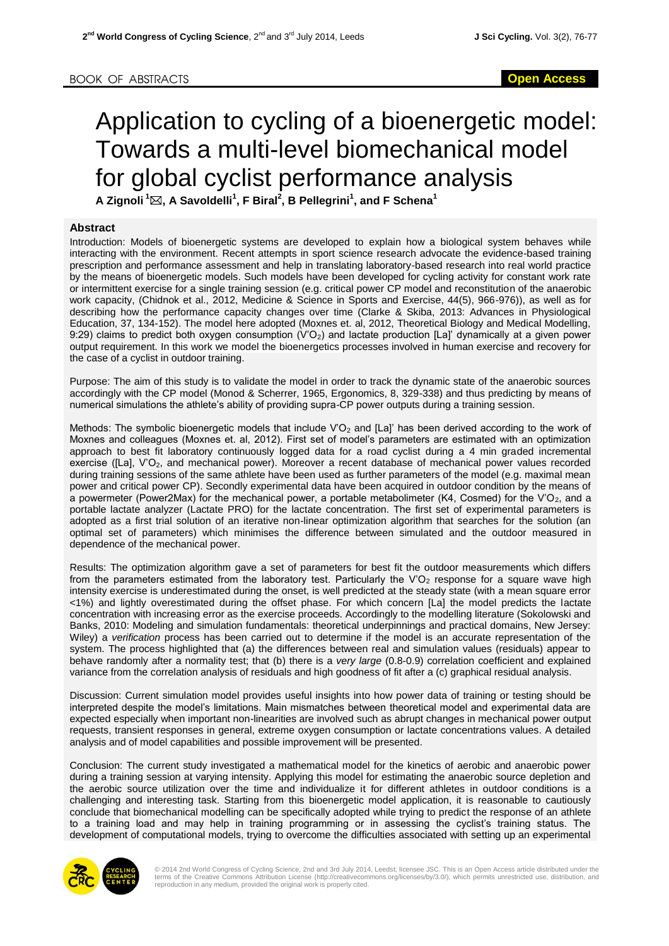## Application to cycling of a bioenergetic model: Towards a multi-level biomechanical model for global cyclist performance analysis

**A Zignoli <sup>1</sup>, A Savoldelli<sup>1</sup> , F Biral<sup>2</sup> , B Pellegrini<sup>1</sup> , and F Schena<sup>1</sup>**

## **Abstract**

Introduction: Models of bioenergetic systems are developed to explain how a biological system behaves while interacting with the environment. Recent attempts in sport science research advocate the evidence-based training prescription and performance assessment and help in translating laboratory-based research into real world practice by the means of bioenergetic models. Such models have been developed for cycling activity for constant work rate or intermittent exercise for a single training session (e.g. critical power CP model and reconstitution of the anaerobic work capacity, (Chidnok et al., 2012, Medicine & Science in Sports and Exercise, 44(5), 966-976)), as well as for describing how the performance capacity changes over time (Clarke & Skiba, 2013: Advances in Physiological Education, 37, 134-152). The model here adopted (Moxnes et. al, 2012, Theoretical Biology and Medical Modelling, 9:29) claims to predict both oxygen consumption (V'O<sub>2</sub>) and lactate production [La]' dynamically at a given power output requirement. In this work we model the bioenergetics processes involved in human exercise and recovery for the case of a cyclist in outdoor training.

Purpose: The aim of this study is to validate the model in order to track the dynamic state of the anaerobic sources accordingly with the CP model (Monod & Scherrer, 1965, Ergonomics, 8, 329-338) and thus predicting by means of numerical simulations the athlete's ability of providing supra-CP power outputs during a training session.

Methods: The symbolic bioenergetic models that include  $V'O<sub>2</sub>$  and [La]' has been derived according to the work of Moxnes and colleagues (Moxnes et. al, 2012). First set of model's parameters are estimated with an optimization approach to best fit laboratory continuously logged data for a road cyclist during a 4 min graded incremental exercise ([La], V'O<sub>2</sub>, and mechanical power). Moreover a recent database of mechanical power values recorded during training sessions of the same athlete have been used as further parameters of the model (e.g. maximal mean power and critical power CP). Secondly experimental data have been acquired in outdoor condition by the means of a powermeter (Power2Max) for the mechanical power, a portable metabolimeter (K4, Cosmed) for the V'O<sub>2</sub>, and a portable lactate analyzer (Lactate PRO) for the lactate concentration. The first set of experimental parameters is adopted as a first trial solution of an iterative non-linear optimization algorithm that searches for the solution (an optimal set of parameters) which minimises the difference between simulated and the outdoor measured in dependence of the mechanical power.

Results: The optimization algorithm gave a set of parameters for best fit the outdoor measurements which differs from the parameters estimated from the laboratory test. Particularly the V'O<sub>2</sub> response for a square wave high intensity exercise is underestimated during the onset, is well predicted at the steady state (with a mean square error <1%) and lightly overestimated during the offset phase. For which concern [La] the model predicts the lactate concentration with increasing error as the exercise proceeds. Accordingly to the modelling literature (Sokolowski and Banks, 2010: Modeling and simulation fundamentals: theoretical underpinnings and practical domains, New Jersey: Wiley) a *verification* process has been carried out to determine if the model is an accurate representation of the system. The process highlighted that (a) the differences between real and simulation values (residuals) appear to behave randomly after a normality test; that (b) there is a *very large* (0.8-0.9) correlation coefficient and explained variance from the correlation analysis of residuals and high goodness of fit after a (c) graphical residual analysis.

Discussion: Current simulation model provides useful insights into how power data of training or testing should be interpreted despite the model's limitations. Main mismatches between theoretical model and experimental data are expected especially when important non-linearities are involved such as abrupt changes in mechanical power output requests, transient responses in general, extreme oxygen consumption or lactate concentrations values. A detailed analysis and of model capabilities and possible improvement will be presented.

Conclusion: The current study investigated a mathematical model for the kinetics of aerobic and anaerobic power during a training session at varying intensity. Applying this model for estimating the anaerobic source depletion and the aerobic source utilization over the time and individualize it for different athletes in outdoor conditions is a challenging and interesting task. Starting from this bioenergetic model application, it is reasonable to cautiously conclude that biomechanical modelling can be specifically adopted while trying to predict the response of an athlete to a training load and may help in training programming or in assessing the cyclist's training status. The development of computational models, trying to overcome the difficulties associated with setting up an experimental



© 2014 2nd World Congress of Cycling Science, 2nd and 3rd July 2014, Leedst; licensee JSC. This is an Open Access article distributed under the<br>terms of the Creative Commons Attribution License (http://creativecommons.org/ reproduction in any medium, provided the original work is properly cited.